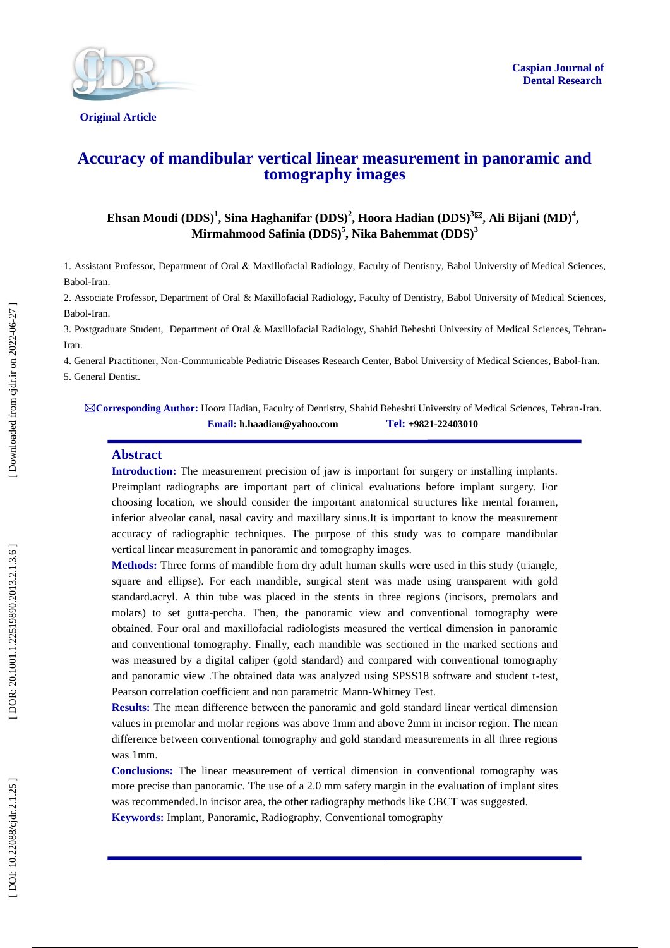

**Original Article** 

# **Accuracy of mandibular vertical linear measurement in panoramic and tomography images**

 $\bf{E}$ hsan Moudi (DDS)<sup>1</sup>, Sina Haghanifar (DDS)<sup>2</sup>, Hoora Hadian (DDS)<sup>3⊠</sup>, Ali Bijani (MD)<sup>4</sup>, **Mirmahmood Safinia (DDS) 5 , Nika Bahemmat (DDS) 3**

1. Assistant Professor, Department of Oral & Maxillofacial Radiology, Faculty of Dentistry , Babol University of Medical Sciences, Babol -Iran.

2. Associate Professor, Department of Oral & Maxillofacial Radiology, Faculty of Dentistry, Babol University of Medical Sciences, Babol-Iran.

3. Postgraduate Student, Department of Oral & Maxillofacial Radiology, Shahid Beheshti University of Medical Sciences, Tehran - Iran.

4. General Practitioner, Non -Communicable Pediatric Diseases Research Center, Babol University of Medical Sciences, Babol -Iran. 5. General Dentist .

**Corresponding Author :** Hoora Hadian, Faculty of Dentistry, Shahid Beheshti University of Medical Sciences, Tehran -Iran. **Email: h.haadian@yahoo.com Tel: +9821 -22403010**

#### **Abstract**

**Introduction :** The measurement precision of jaw is important for surgery or installing implants. Preimplant radiographs are important part of clinical evaluations before implant surgery. For choosing location, we should consider the important anatomical structures like mental foramen, inferior alveolar canal, nasal cavity and maxillary sinus.It is important to know the measurement accuracy of radiographic techniques. The purpose of this study was to compare mandibular vertical linear measurement in panoramic and tomography images.

**Methods:** Three forms of mandible from dry adult human skulls were used in this study (triangle, square and ellipse). For each mandible, surgical stent was made using transparent with gold standard.acryl. A thin tube was placed in the stents in three regions (incisors, premolars and molars) to set gutta -percha. Then, the panoramic view and conventional tomography were obtained. Four oral and maxillofacial radiologists measured the vertical dimension in panoramic and conventional tomography. Finally, each mandible was sectioned in the marked sections and was measured by a digital caliper (gold standard) and compared with conventional tomography and panoramic view .The obtained data was analyzed using SPSS18 software and student t-test, Pearson correlation coefficient and non parametric Mann -Whitney Test.

**Results:** The mean difference between the panoramic and gold standard linear vertical dimension values in premolar and molar regions was above 1mm and above 2mm in incisor region. The mean difference between conventional tomography and gold standard measurements in all three regions was 1mm.

**Conclusions:** The linear measurement of vertical dimension in conventional tomography was more precise than panoramic. The use of a 2.0 mm safety margin in the evaluation of implant sites was recommended.In incisor area, the other radiography methods like CBCT was suggested. **Keywords:** Implant, Panoramic, Radiography, Conventional tomography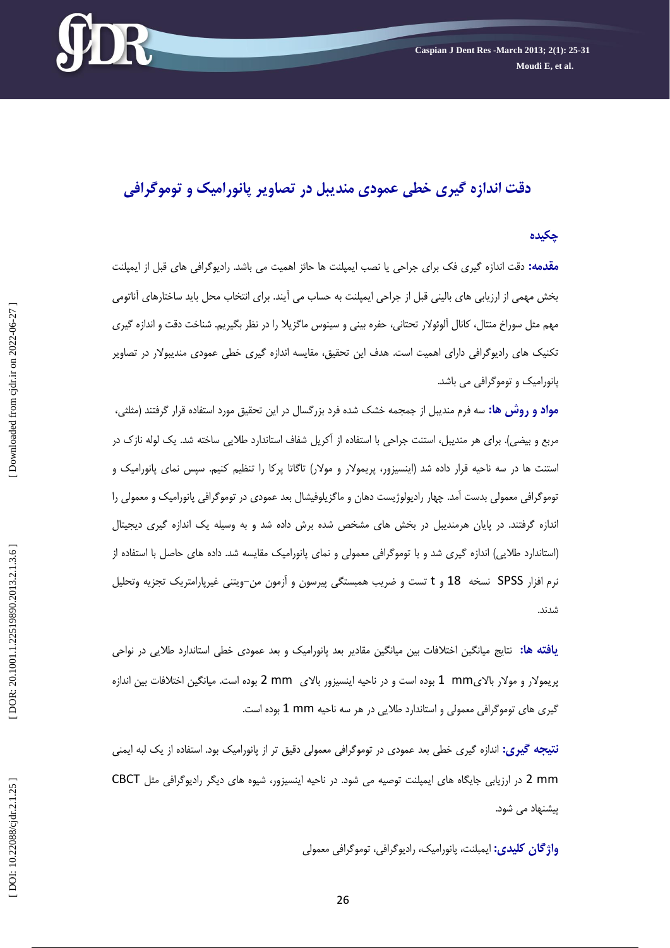

# **دقت اندازه گيری خطی عمودی منديبل در تصاوير پانوراميک و توموگرافی**

#### **چکيده**

<mark>مقدمه:</mark> دقت اندازه گیری فک برای جراحی یا نصب ایمپلنت ها حائز اهمیت می باشد. رادیوگرافی های قبل از ایمپلنت بخش مهمي از ارزيابي هاي باليني قبل از جراحي ايمپلنت به حساب مي ايند. براي انتخاب محل بايد ساختارهاي اناتومي مهم مثل سوراخ منتال، كانال آلوئولار تحتاني، حفره بيني و سينوس ماگزيلا را در نظر بگيريم. شناخت دقت و اندازه گيري تكنيك هاي راديوگرافي داراي اهميت است. هدف اين تحقيق، مقايسه اندازه گيري خطي عمودي منديبولار در تصاوير پانوراميک و توموگرافي مي باشد.

**مواد و روش ها:** سه فرم منديبل از جمجمه خشک شده فرد بزرگسال در اين تحقيق مورد استفاده قرار گرفتند (مثلثي، مربع و بيضي). براي هر منديبل، استنت جراحي با استفاده از آكريل شفاف استاندارد طلايي ساخته شد. يک لوله نازک در استنت ها در سه ناحيه قرار داده شد (اينسيزور، پريمولار و مولار) تاگاتا پركا را تنظيم كنيم. سپس نمای پانوراميک و توموگرافي معمولي بدست آمد. چهار راديولوژيست دهان و ماگزيلوفيشال بعد عمودي در توموگرافي پانوراميک و معمولي را اندازه گرفتند. در پايان هرمنديبل در بخش هاي مشخص شده برش داده شد و به وسيله يک اندازه گيري ديجيتال (استاندارد طلايي) اندازه گيري شد و با توموگرافي معمولي و نماي پانوراميک مقايسه شد. داده هاي حاصل با استفاده از نرم افزار SPSS نسخه 18 و t تست و ضريب همبستگى پيرسون و آزمون من–ويتنى غيرپارامتريک تجزيه وتحليل<br>شدند.

**يافته ها:** نتايج ميانگين اختلافات بين ميانگين مقادير بعد پانوراميک و بعد عمودی خطی استاندارد طلايی در نواحی پريمولار و مولار بالایmm 1 بوده است و در ناحيه اينسيزور بالای mm 2 بوده است. ميانگين اختلافات بين اندازه گیری های توموگرافی معمولی و استاندارد طلایی در هر سه ناحیه 1 mm بوده است.

**نتيجه گيري:** اندازه گيري خطي بعد عمودي در توموگرافي معمولي دقيق تر از پانوراميک بود. استفاده از يک لبه ايمني 2 mm در ارزيابي جايگاه هاي ايمپلنت توصيه مي شود. در ناحيه اينسيزور، شيوه هاي ديگر راديوگرافي مثل CBCT پيشنهاد مي شود.

**واژگان کلیدی:** ایمبلنت، پانورامیک، رادیوگرافی، توموگرافی معمولی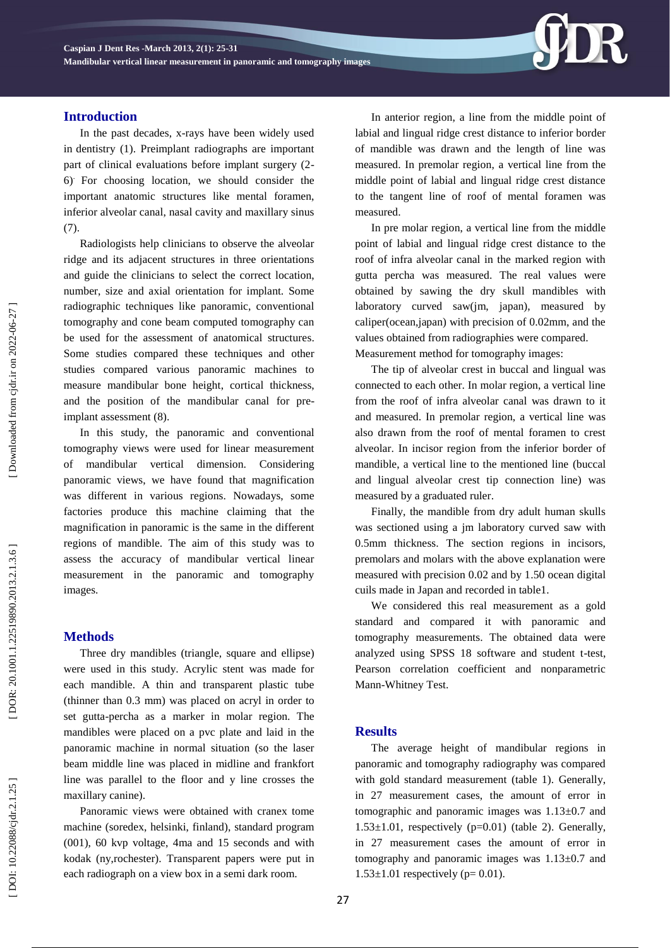# **Introduction**

In the past decades, x -rays have been widely used in dentistry (1). Preimplant radiographs are important part of clinical evaluations before implant surgery (2 - 6). For choosing location, we should consider the important anatomic structures like mental foramen, inferior alveolar canal, nasal cavity and maxillary sinus (7).

Radiologists help clinicians to observe the alveolar ridge and its adjacent structures in three orientations and guide the clinicians to select the correct location, number, size and axial orientation for implant. Some radiographic techniques like panoramic, conventional tomography and cone beam computed tomography can be used for the assessment of anatomical structures. Some studies compared these techniques and other studies compared various panoramic machines to measure mandibular bone height, cortical thickness, and the position of the mandibular canal for pre implant assessment (8).

In this study, the panoramic and conventional tomography views were used for linear measurement of mandibular vertical dimension. Considering panoramic views, we have found that magnification was different in various regions. Nowadays, some factories produce this machine claiming that the magnification in panoramic is the same in the different regions of mandible. The aim of this study was to assess the accuracy of mandibular vertical linear measurement in the panoramic and tomography images.

# **Method s**

Three dry mandibles (triangle, square and ellipse) were used in this study. Acrylic stent was made for each mandible. A thin and transparent plastic tube (thinner than 0.3 mm) was placed on acryl in order to set gutta -percha as a marker in molar region. The mandibles were placed on a pvc plate and laid in the panoramic machine in normal situation (so the laser beam middle line was placed in midline and frankfort line was parallel to the floor and y line crosses the maxillary canine).

Panoramic views were obtained with cranex tome machine (soredex, helsinki, finland), standard program (001), 60 kvp voltage, 4ma and 15 seconds and with kodak (ny,rochester). Transparent papers were put in each radiograph on a view box in a semi dark room.

In anterior region , a line from the middle point of labial and lingual ridge crest distance to inferior border of mandible was drawn and the length of line was measured. In premolar region, a vertical line from the middle point of labial and lingual ridge crest distance to the tangent line of roof of mental foramen was measured.

In pre molar region, a vertical line from the middle point of labial and lingual ridge crest distance to the roof of infra alveolar canal in the marked region with gutta percha was measured. The real values were obtained by sawing the dry skull mandibles with laboratory curved saw(jm, japan), measured by caliper(ocean,japan) with precision of 0.02mm, and the values obtained from radiographies were compared. Measurement method for tomography images:

The tip of alveolar crest in buccal and lingual was connected to each other. In molar region, a vertical line from the roof of infra alveolar canal was drawn to it and measured. In premolar region, a vertical line was also drawn from the roof of mental foramen to crest alveolar. In incisor region from the inferior border of mandible, a vertical line to the mentioned line (buccal and lingual alveolar crest tip connection line) was measured by a graduated ruler.

Finally, the mandible from dry adult human skulls was sectioned using a jm laboratory curved saw with 0.5mm thickness. The section regions in incisors, premolars and molars with the above explanation were measured with precision 0.02 and by 1 .50 ocean digital cuils made in Japan and recorded in table1.

We considered this real measurement as a gold standard and compared it with panoramic and tomography measurements. The obtained data were analyzed using SPSS 18 software and student t -test, Pearson correlation coefficient and nonparametric Mann -Whitney Test.

# **Result s**

The average height of mandibular regions in panoramic and tomography radiography was compared with gold standard measurement (table 1). Generally, in 27 measurement cases, the amount of error in tomographic and panoramic images was 1.13±0.7 and  $1.53\pm1.01$ , respectively (p=0.01) (table 2). Generally, in 27 measurement cases the amount of error in tomography and panoramic images was  $1.13\pm0.7$  and  $1.53 \pm 1.01$  respectively (p= 0.01).

DOR: 20.1001.1.22519890.2013.2.1.3.6

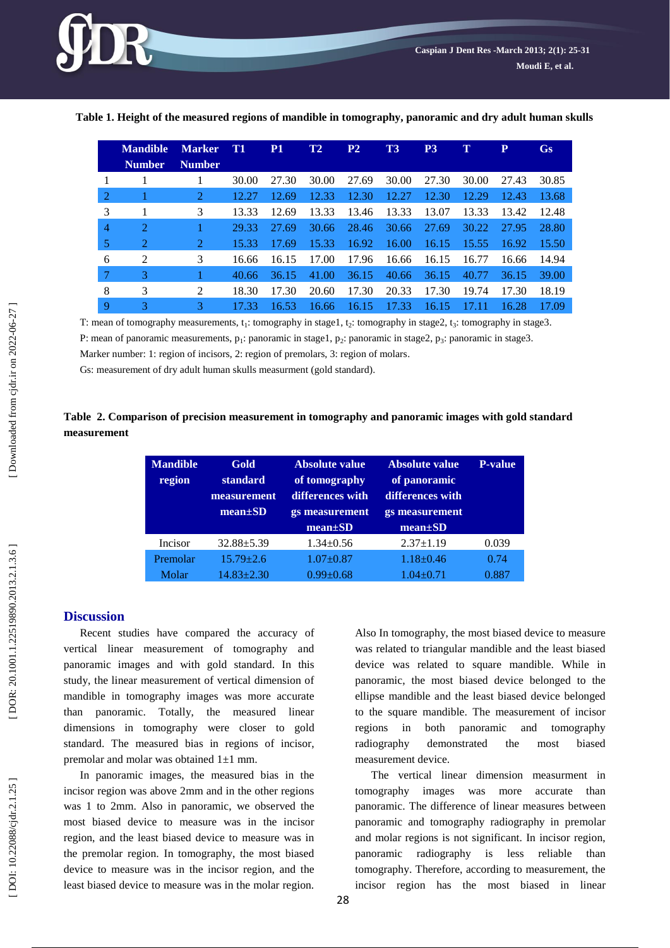

|   | <b>Mandible</b>             | <b>Marker</b>  | <b>T1</b> | P <sub>1</sub> | T2    | P <sub>2</sub> | T3    | P <sub>3</sub> | T     | P     | Gs    |
|---|-----------------------------|----------------|-----------|----------------|-------|----------------|-------|----------------|-------|-------|-------|
|   | <b>Number</b>               | <b>Number</b>  |           |                |       |                |       |                |       |       |       |
|   |                             |                | 30.00     | 27.30          | 30.00 | 27.69          | 30.00 | 27.30          | 30.00 | 27.43 | 30.85 |
| 2 |                             | $\overline{2}$ | 12.27     | 12.69          | 12.33 | 12.30          | 12.27 | 12.30          | 12.29 | 12.43 | 13.68 |
| 3 |                             | 3              | 13.33     | 12.69          | 13.33 | 13.46          | 13.33 | 13.07          | 13.33 | 13.42 | 12.48 |
| 4 | $\mathcal{D}_{\mathcal{L}}$ |                | 29.33     | 27.69          | 30.66 | 28.46          | 30.66 | 27.69          | 30.22 | 27.95 | 28.80 |
| 5 | 2                           | 2              | 15.33     | 17.69          | 15.33 | 16.92          | 16.00 | 16.15          | 15.55 | 16.92 | 15.50 |
| 6 | 2                           | 3              | 16.66     | 16.15          | 17.00 | 17.96          | 16.66 | 16.15          | 16.77 | 16.66 | 14.94 |
| 7 | 3                           |                | 40.66     | 36.15          | 41.00 | 36.15          | 40.66 | 36.15          | 40.77 | 36.15 | 39.00 |
| 8 | 3                           | 2              | 18.30     | 17.30          | 20.60 | 17.30          | 20.33 | 17.30          | 19.74 | 17.30 | 18.19 |
| 9 | 3                           | 3              | 17.33     | 16.53          | 16.66 | 16.15          | 17.33 | 16.15          | 17    | 16.28 | 17.09 |

**Table 1 . Height of the measured regions of mandible in tomography, panoramic and dry adult human skulls**

T: mean of tomography measurements, t<sub>1</sub>: tomography in stage1, t<sub>2</sub>: tomography in stage2, t<sub>3</sub>: tomography in stage3.

P: mean of panoramic measurements, p<sub>1</sub>: panoramic in stage1, p<sub>2</sub>: panoramic in stage2, p<sub>3</sub>: panoramic in stage3.

Marker number: 1: region of incisors, 2: region of premolars, 3: region of molars .

Gs: measurement of dry adult human skulls measurment (gold standard) .

# **Table 2 . Comparison of precision measurement in tomography and panoramic images with gold standard measurement**

| <b>Mandible</b><br>region | Gold<br>standard<br>measurement<br>$mean \pm SD$ | Absolute value<br>of tomography<br>differences with<br>gs measurement<br>$mean \pm SD$ | Absolute value<br>of panoramic<br>differences with<br>gs measurement<br>$mean \pm SD$ | <b>P-value</b> |
|---------------------------|--------------------------------------------------|----------------------------------------------------------------------------------------|---------------------------------------------------------------------------------------|----------------|
| Incisor                   | $32.88 + 5.39$                                   | $1.34 \pm 0.56$                                                                        | $2.37 \pm 1.19$                                                                       | 0.039          |
| Premolar                  | $15.79 + 2.6$                                    | $1.07 + 0.87$                                                                          | $1.18 + 0.46$                                                                         | 0.74           |
| Molar                     | $14.83 + 2.30$                                   | $0.99 + 0.68$                                                                          | $1.04 \pm 0.71$                                                                       | 0.887          |

#### **Discussion**

Recent studies have compared the accuracy of vertical linear measurement of tomography and panoramic images and with gold standard. In this study, the linear measurement of vertical dimension of mandible in tomography images was more accurate than panoramic. Totally, the measured linear dimensions in tomography were closer to gold standard. The measured bias in regions of incisor, premolar and molar was obtained 1 ±1 mm.

In panoramic images, the measured bias in the incisor region was above 2mm and in the other regions was 1 to 2mm. Also in panoramic, we observed the most biased device to measure was in the incisor region, and the least biased device to measure was in the premolar region. In tomography, the most biased device to measure was in the incisor region, and the least biased device to measure was in the molar region. Also In tomography, the most biased device to measure was related to triangular mandible and the least biased device was related to square mandible. While in panoramic, the most biased device belonged to the ellipse mandible and the least biased device belonged to the square mandible. The measurement of incisor regions in both panoramic and tomography radiography demonstrated the most biased measurement device.

The vertical linear dimension measurment in tomography images was more accurate than panoramic. The difference of linear measures between panoramic and tomography radiography in premolar and molar regions is not significant. In incisor region, panoramic radiography is less reliable than tomography. Therefore, according to measurement, the incisor region has the most biased in linear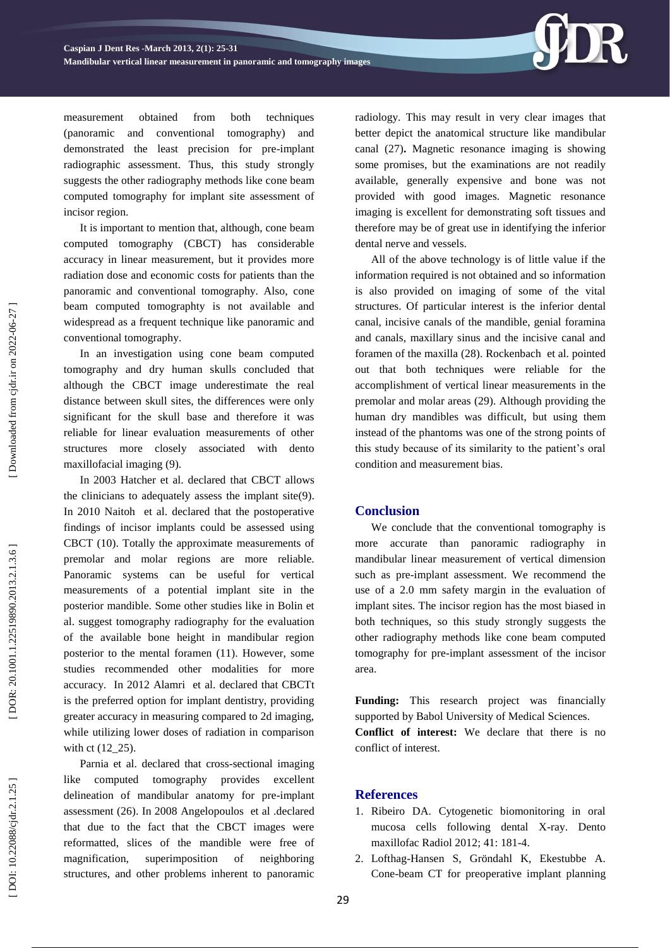

measurement obtained from both techniques (panoramic and conventional tomography) and demonstrated the least precision for pre -implant radiographic assessment. Thus, this study strongly suggests the other radiography methods like cone beam computed tomography for implant site assessment of incisor region.

It is important to mention that, although, cone beam computed tomography (CBCT) has considerable accuracy in linear measurement, but it provides more radiation dose and economic costs for patients than the panoramic and conventional tomography. Also, cone beam computed tomographty is not available and widespread as a frequent technique like panoramic and conventional tomography.

In an investigation using cone beam computed tomography and dry human skulls concluded that although the CBCT image underestimate the real distance between skull sites, the differences were only significant for the skull base and therefore it was reliable for linear evaluation measurements of other structures more closely associated with dento maxillofacial imaging (9).

In 2003 Hatcher et al. declared that CBCT allows the clinicians to adequately assess the implant site(9) . In 2010 [Naitoh](http://www.ncbi.nlm.nih.gov/pubmed?term=Naitoh%20M%5BAuthor%5D&cauthor=true&cauthor_uid=20545543) et al. declared that the postoperative findings of incisor implants could be assessed using CBCT (10) . Totally the approximate measurements of premolar and molar regions are more reliable. Panoramic systems can be useful for vertical measurements of a potential implant site in the posterior mandible. Some other studies like in Bolin et al. suggest tomography radiography for the evaluation of the available bone height in mandibular region posterior to the mental foramen (11). However, some studies recommended other modalities for more accuracy. In 2012 [Alamri](http://www.ncbi.nlm.nih.gov/pubmed?term=Alamri%20HM%5BAuthor%5D&cauthor=true&cauthor_uid=23032226) et al. declared that CBCTt is the preferred option for implant dentistry, providing greater accuracy in measuring compared to 2d imaging, while utilizing lower doses of radiation in comparison with ct (12\_25).

Parnia et al. declared that cross -sectional imaging like computed tomography provides excellent delineation of mandibular anatomy for pre -implant assessment (2 6). In 2008 [Angelopoulos](http://www.ncbi.nlm.nih.gov/pubmed?term=%22Angelopoulos%20C%22%5BAuthor%5D) et al .declared that due to the fact that the CBCT images were reformatted, slices of the mandible were free of magnification, superimposition of neighboring structures, and other problems inherent to panoramic

radiology. This may result in very clear images that better depict the anatomical structure like mandibular canal (2 7 )**.** Magnetic resonance imaging is showing some promises, but the examinations are not readily available, generally expensive and bone was not provided with good images. Magnetic resonance imaging is excellent for demonstrating soft tissues and therefore may be of great use in identifying the inferior dental nerve and vessels.

All of the above technology is of little value if the information required is not obtained and so information is also provided on imaging of some of the vital structures. Of particular interest is the inferior dental canal, incisive canals of the mandible, genial foramina and canals, maxillary sinus and the incisive canal and foramen of the maxilla ( 2 8). [Rockenbach](http://www.ncbi.nlm.nih.gov/pubmed?term=Rockenbach%20MI%5BAuthor%5D&cauthor=true&cauthor_uid=15057399) et al. pointed out that both techniques were reliable for the accomplishment of vertical linear measurements in the premolar and molar areas (29). Although providing the human dry mandibles was difficult, but using them instead of the phantoms was one of the strong points of this study because of its similarity to the patient's oral condition and measurement bias.

#### **Conclusion**

We conclude that the conventional tomography is more accurate than panoramic radiography mandibular linear measurement of vertical dimension such as pre -implant assessment. We recommend the use of a 2.0 mm safety margin in the evaluation of implant sites. The incisor region has the most biased in both techniques, so this study strongly suggests the other radiography methods like cone beam computed tomography for pre -implant assessment of the incisor area.

**Funding:** This research project was financially supported by Babol University of Medical Sciences.

**Conflict of interest:** We declare that there is no conflict of interest.

#### **References**

- 1. Ribeiro DA. Cytogenetic biomonitoring in oral mucosa cells following dental X -ray. Dento maxillofac Radiol 2012; 41: 181 - 4 .
- 2 . Lofthag -Hansen S, Gröndahl K, Ekestubbe A. Cone -beam CT for preoperative implant planning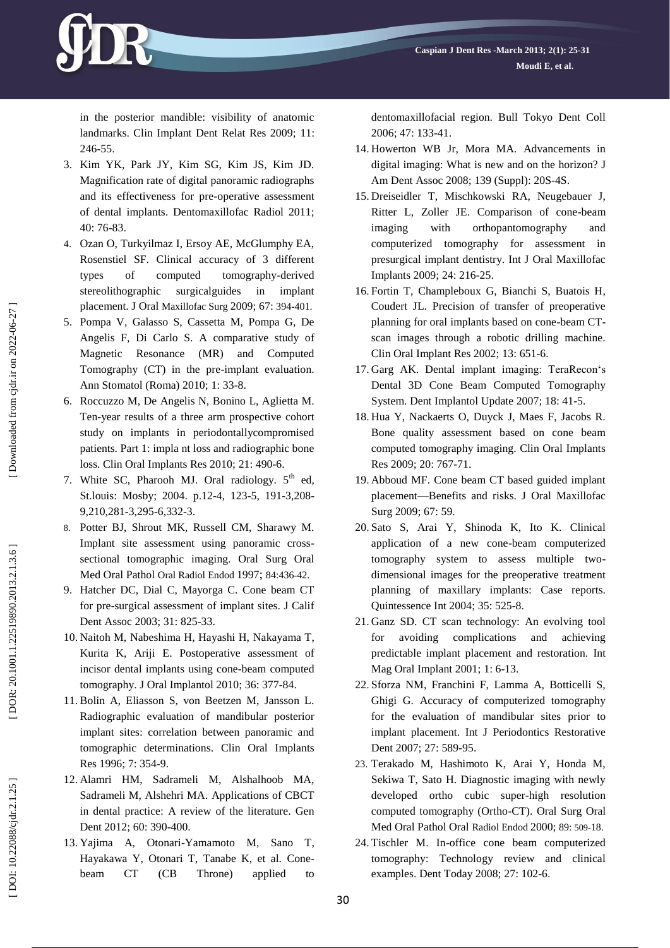

- 3 . Kim YK, Park JY, Kim SG, Kim JS, Kim JD. Magnification rate of digital panoramic radiographs and its effectiveness for pre -operative assessment of dental implants. Dentomaxillofac Radiol 2011; 40: 76 -83.
- 4 . Ozan O, Turkyilmaz I, Ersoy AE, McGlumphy EA, Rosenstiel SF. Clinical accuracy of 3 different types of computed tomography -derived stereolithographic surgicalguides in implant placement. J Oral Maxillofac Surg 2009; 67: 394 -401.
- 5 . Pompa V, Galasso S, Cassetta M, Pompa G, De Angelis F, Di Carlo S. A comparative study of Magnetic Resonance (MR) and Computed Tomography (CT) in the pre -implant evaluation. Ann Stomatol (Roma) 2010; 1: 33 -8.
- 6 . Roccuzzo M, De Angelis N, Bonino L, Aglietta M. Ten -year results of a three arm prospective cohort study on implants in periodontallycompromised patients. Part 1: impla nt loss and radiographic bone loss. Clin Oral Implants Res 2010; 21: 490 -6.
- 7. White SC, Pharooh MJ. Oral radiology. 5<sup>th</sup> ed, St.louis: Mosby; 2004. p.12-4, 123-5, 191-3,208-9,210,281 -3,295 -6,332 -3.
- 8 . Potter BJ, Shrout MK, Russell CM, Sharawy M. Implant site assessment using panoramic cross sectional tomographic imaging. Oral Surg Oral Med Oral Pathol Oral Radiol Endod 1997; 84:436-42.
- 9 . Hatcher DC, Dial C, Mayorga C. Cone beam CT for pre -surgical assessment of implant sites. J Calif Dent Assoc 2003; 31: 825 -33.
- 10 . Naitoh M, Nabeshima H, Hayashi H, Nakayama T, Kurita K, Ariji E . Postoperative assessment of incisor dental implants using cone -beam computed tomography. J Oral Implantol 2010; 36: 377 -84.
- 11 . Bolin A, Eliasson S, von Beetzen M, Jansson L. Radiographic evaluation of mandibular posterior implant sites: correlation between panoramic and tomographic determinations. Clin Oral Implants Res 1996; 7: 354 -9.
- 12 . Alamri HM, Sadrameli M, Alshalhoob MA, Sadrameli M, Alshehri MA. Applications of CBCT in dental practice: A review of the literature. Gen Dent 2012; 60: 390-400.
- 13 . Yajima A, Otonari -Yamamoto M, Sano T, Hayakawa Y, Otonari T, Tanabe K, e t al. Cone beam CT (CB Throne) applied to

dentomaxillofacial region. Bull Tokyo Dent Coll 2006; 47: 133 -41.

- 14 . Howerton WB Jr, Mora MA. Advancements in digital imaging: What is new and on the horizon? J Am Dent Assoc 2008; 139 (Suppl ) : 20S -4S.
- 15 . Dreiseidler T, Mischkowski RA, Neugebauer J, Ritter L, Zoller JE. Comparison of cone -beam imaging with orthopantomography and computerized tomography for assessment in presurgical implant dentistry. Int J Oral Maxillofac Implants 2009; 24: 216 -25.
- 16 . Fortin T, Champleboux G, Bianchi S, Buatois H, Coudert JL. Precision of transfer of preoperative planning for oral implants based on cone -beam CT scan images through a robotic drilling machine. Clin Oral Implant Res 2002; 13: 651 -6.
- 17 . Garg AK. Dental implant imaging: TeraRecon's Dental 3D Cone Beam Computed Tomography System. Dent Implantol Update 2007; 18: 41 -5.
- 18 . Hua Y, Nackaerts O, Duyck J, Maes F, Jacobs R. Bone quality assessment based on cone beam computed tomography imaging. Clin Oral Implants Res 2009; 20: 767 -71.
- 19 . Abboud MF. Cone beam CT based guided implant placement —Benefits and risks. J Oral Maxillofac Surg 2009; 67: 59.
- 20 . Sato S, Arai Y, Shinoda K, Ito K. Clinical application of a new cone -beam computerized tomography system to assess multiple two dimensional images for the preoperative treatment planning of maxillary implants: Case reports. Quintessence Int 2004; 35: 525 -8.
- 21 . Ganz SD. CT scan technology: An evolving tool for avoiding complications and achieving predictable implant placement and restoration. Int Mag Oral Implant 2001; 1: 6 -13.
- 22 . Sforza NM, Franchini F, Lamma A, Botticelli S, Ghigi G. Accuracy of computerized tomography for the evaluation of mandibular sites prior to implant placement. Int J Periodontics Restorative Dent 2007; 27: 589 -95.
- 23 . Terakado M, Hashimoto K, Arai Y, Honda M, Sekiwa T, Sato H. Diagnostic imaging with newly developed ortho cubic super -high resolution computed tomography (Ortho -CT). Oral Surg Oral Med Oral Pathol Oral Radiol Endod 2000; 89: 509 -18.
- 24 . Tischler M. In -office cone beam computerized tomography: Technology review and clinical examples. Dent Today 2008; 27: 102 -6.

DOI: 10.22088/cjdr.2.1.25